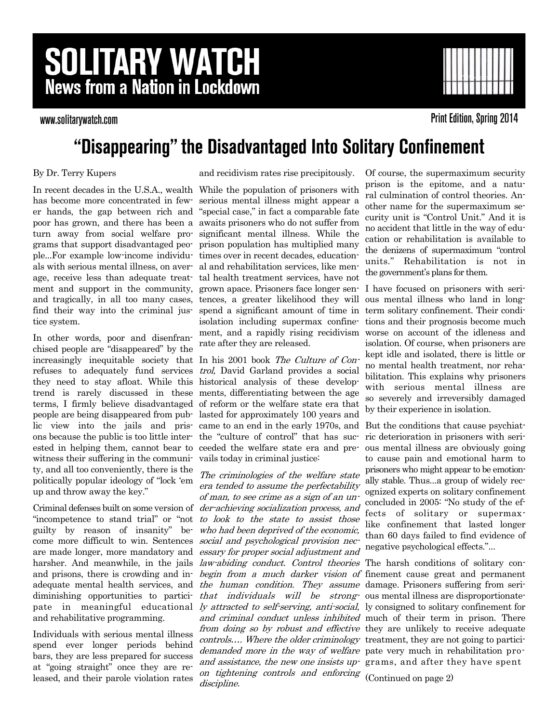# **SOLITARY WATCH News from a Nation in Lockdown**

#### www.solitarywatch.com

**Print Edition, Spring 2014** 

## "Disappearing" the Disadvantaged Into Solitary Confinement

### By Dr. Terry Kupers

er hands, the gap between rich and turn away from social welfare programs that support disadvantaged people...For example low-income individuals with serious mental illness, on average, receive less than adequate treatment and support in the community, and tragically, in all too many cases, find their way into the criminal justice system.

In other words, poor and disenfranchised people are "disappeared" by the increasingly inequitable society that In his 2001 book The Culture of Conrefuses to adequately fund services they need to stay afloat. While this historical analysis of these developtrend is rarely discussed in these terms, I firmly believe disadvantaged people are being disappeared from public view into the jails and prisons because the public is too little interested in helping them, cannot bear to witness their suffering in the community, and all too conveniently, there is the politically popular ideology of "lock 'em up and throw away the key."

Criminal defenses built on some version of "incompetence to stand trial" or "not guilty by reason of insanity" become more difficult to win. Sentences are made longer, more mandatory and harsher. And meanwhile, in the jails and prisons, there is crowding and inadequate mental health services, and diminishing opportunities to participate in meaningful educational and rehabilitative programming.

Individuals with serious mental illness spend ever longer periods behind bars, they are less prepared for success at "going straight" once they are released, and their parole violation rates and recidivism rates rise precipitously.

In recent decades in the U.S.A., wealth While the population of prisoners with has become more concentrated in few-serious mental illness might appear a poor has grown, and there has been a awaits prisoners who do not suffer from "special case," in fact a comparable fate significant mental illness. While the prison population has multiplied many times over in recent decades, educational and rehabilitation services, like mental health treatment services, have not grown apace. Prisoners face longer sentences, a greater likelihood they will spend a significant amount of time in isolation including supermax confinement, and a rapidly rising recidivism rate after they are released.

> trol, David Garland provides a social ments, differentiating between the age of reform or the welfare state era that lasted for approximately 100 years and came to an end in the early 1970s, and the "culture of control" that has succeeded the welfare state era and prevails today in criminal justice:

The criminologies of the welfare state era tended to assume the perfectability of man, to see crime as a sign of an under-achieving socialization process, and to look to the state to assist those who had been deprived of the economic, social and psychological provision necessary for proper social adjustment and law-abiding conduct. Control theories The harsh conditions of solitary conbegin from a much darker vision of finement cause great and permanent the human condition. They assume damage. Prisoners suffering from serithat individuals will be strong ous mental illness are disproportionately attracted to self-serving, anti-social, ly consigned to solitary confinement for and criminal conduct unless inhibited much of their term in prison. There from doing so by robust and effective they are unlikely to receive adequate controls.... Where the older criminology treatment, they are not going to particidemanded more in the way of welfare pate very much in rehabilitation proand assistance, the new one insists up-grams, and after they have spent on tightening controls and enforcing discipline.

Of course, the supermaximum security prison is the epitome, and a natural culmination of control theories. Another name for the supermaximum security unit is "Control Unit." And it is no accident that little in the way of education or rehabilitation is available to the denizens of supermaximum "control units." Rehabilitation is not in the government's plans for them.

I have focused on prisoners with serious mental illness who land in longterm solitary confinement. Their conditions and their prognosis become much worse on account of the idleness and isolation. Of course, when prisoners are kept idle and isolated, there is little or no mental health treatment, nor rehabilitation. This explains why prisoners with serious mental illness are so severely and irreversibly damaged by their experience in isolation.

But the conditions that cause psychiatric deterioration in prisoners with serious mental illness are obviously going to cause pain and emotional harm to prisoners who might appear to be emotionally stable. Thus...a group of widely recognized experts on solitary confinement concluded in 2005: "No study of the effects of solitary or supermaxlike confinement that lasted longer than 60 days failed to find evidence of negative psychological effects."...

(Continued on page 2)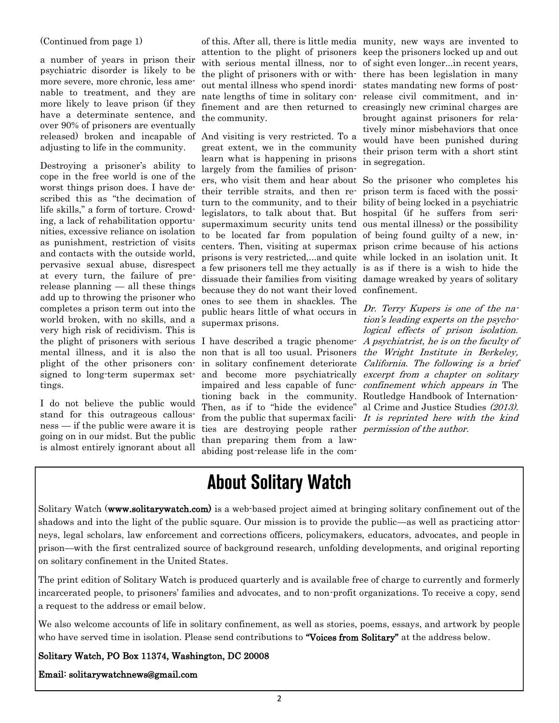(Continued from page 1)

a number of years in prison their psychiatric disorder is likely to be more severe, more chronic, less amenable to treatment, and they are more likely to leave prison (if they have a determinate sentence, and over 90% of prisoners are eventually released) broken and incapable of And visiting is very restricted. To a adjusting to life in the community.

Destroying a prisoner's ability to cope in the free world is one of the worst things prison does. I have described this as "the decimation of life skills," a form of torture. Crowding, a lack of rehabilitation opportunities, excessive reliance on isolation as punishment, restriction of visits and contacts with the outside world, pervasive sexual abuse, disrespect at every turn, the failure of prerelease planning — all these things add up to throwing the prisoner who completes a prison term out into the world broken, with no skills, and a very high risk of recidivism. This is the plight of prisoners with serious mental illness, and it is also the plight of the other prisoners consigned to long-term supermax settings.

I do not believe the public would stand for this outrageous callousness — if the public were aware it is going on in our midst. But the public is almost entirely ignorant about all

out mental illness who spend inordi-states mandating new forms of postnate lengths of time in solitary con-release civil commitment, and inthe community.

great extent, we in the community learn what is happening in prisons largely from the families of prisoners, who visit them and hear about So the prisoner who completes his their terrible straits, and then return to the community, and to their bility of being locked in a psychiatric legislators, to talk about that. But hospital (if he suffers from serisupermaximum security units tend ous mental illness) or the possibility to be located far from population of being found guilty of a new, incenters. Then, visiting at supermax prison crime because of his actions prisons is very restricted,...and quite while locked in an isolation unit. It a few prisoners tell me they actually is as if there is a wish to hide the dissuade their families from visiting damage wreaked by years of solitary because they do not want their loved confinement. ones to see them in shackles. The public hears little of what occurs in supermax prisons.

tioning back in the community. Routledge Handbook of Internationfrom the public that supermax facili- It is reprinted here with the kind ties are destroying people rather *permission of the author*. than preparing them from a lawabiding post-release life in the com-

of this. After all, there is little media munity, new ways are invented to attention to the plight of prisoners keep the prisoners locked up and out with serious mental illness, nor to of sight even longer...in recent years, the plight of prisoners with or with-there has been legislation in many finement and are then returned to creasingly new criminal charges are brought against prisoners for relatively minor misbehaviors that once would have been punished during their prison term with a short stint in segregation.

prison term is faced with the possi-

I have described a tragic phenome- A psychiatrist, he is on the faculty of non that is all too usual. Prisoners the Wright Institute in Berkeley, in solitary confinement deteriorate California. The following is a brief and become more psychiatrically excerpt from a chapter on solitary impaired and less capable of func- *confinement which appears in* The Then, as if to "hide the evidence" al Crime and Justice Studies (2013). Dr. Terry Kupers is one of the nation's leading experts on the psychological effects of prison isolation.

### **About Solitary Watch**

Solitary Watch (www.solitarywatch.com) is a web-based project aimed at bringing solitary confinement out of the shadows and into the light of the public square. Our mission is to provide the public—as well as practicing attorneys, legal scholars, law enforcement and corrections officers, policymakers, educators, advocates, and people in prison—with the first centralized source of background research, unfolding developments, and original reporting on solitary confinement in the United States.

The print edition of Solitary Watch is produced quarterly and is available free of charge to currently and formerly incarcerated people, to prisoners' families and advocates, and to non-profit organizations. To receive a copy, send a request to the address or email below.

We also welcome accounts of life in solitary confinement, as well as stories, poems, essays, and artwork by people who have served time in isolation. Please send contributions to "Voices from Solitary" at the address below.

Solitary Watch, PO Box 11374, Washington, DC 20008

Email: solitarywatchnews@gmail.com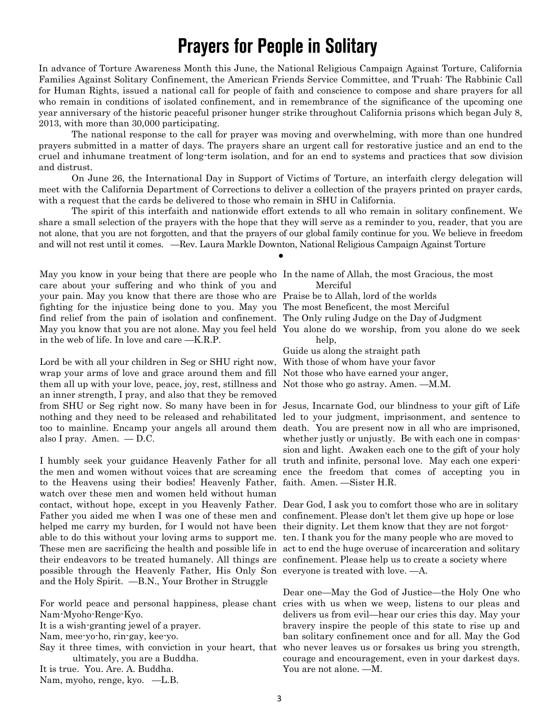### **Prayers for People in Solitary**

In advance of Torture Awareness Month this June, the National Religious Campaign Against Torture, California Families Against Solitary Confinement, the American Friends Service Committee, and T'ruah: The Rabbinic Call for Human Rights, issued a national call for people of faith and conscience to compose and share prayers for all who remain in conditions of isolated confinement, and in remembrance of the significance of the upcoming one year anniversary of the historic peaceful prisoner hunger strike throughout California prisons which began July 8, 2013, with more than 30,000 participating.

The national response to the call for prayer was moving and overwhelming, with more than one hundred prayers submitted in a matter of days. The prayers share an urgent call for restorative justice and an end to the cruel and inhumane treatment of long-term isolation, and for an end to systems and practices that sow division and distrust.

On June 26, the International Day in Support of Victims of Torture, an interfaith clergy delegation will meet with the California Department of Corrections to deliver a collection of the prayers printed on prayer cards, with a request that the cards be delivered to those who remain in SHU in California.

The spirit of this interfaith and nationwide effort extends to all who remain in solitary confinement. We share a small selection of the prayers with the hope that they will serve as a reminder to you, reader, that you are not alone, that you are not forgotten, and that the prayers of our global family continue for you. We believe in freedom and will not rest until it comes. —Rev. Laura Markle Downton, National Religious Campaign Against Torture

●

May you know in your being that there are people who In the name of Allah, the most Gracious, the most care about your suffering and who think of you and your pain. May you know that there are those who are Praise be to Allah, lord of the worlds fighting for the injustice being done to you. May you The most Beneficent, the most Merciful find relief from the pain of isolation and confinement. The Only ruling Judge on the Day of Judgment in the web of life. In love and care —K.R.P.

Lord be with all your children in Seg or SHU right now, With those of whom have your favor wrap your arms of love and grace around them and fill Not those who have earned your anger, them all up with your love, peace, joy, rest, stillness and Not those who go astray. Amen. —M.M. an inner strength, I pray, and also that they be removed also I pray. Amen. — D.C.

to the Heavens using their bodies! Heavenly Father, faith. Amen. —Sister H.R. watch over these men and women held without human contact, without hope, except in you Heavenly Father. Dear God, I ask you to comfort those who are in solitary Father you aided me when I was one of these men and helped me carry my burden, for I would not have been their dignity. Let them know that they are not forgotable to do this without your loving arms to support me. ten. I thank you for the many people who are moved to their endeavors to be treated humanely. All things are confinement. Please help us to create a society where possible through the Heavenly Father, His Only Son everyone is treated with love. —A. and the Holy Spirit. —B.N., Your Brother in Struggle

Nam-Myoho-Renge-Kyo.

It is a wish-granting jewel of a prayer.

Nam, mee-yo-ho, rin-gay, kee-yo.

Say it three times, with conviction in your heart, that ultimately, you are a Buddha.

It is true. You. Are. A. Buddha.

Nam, myoho, renge, kyo. —L.B.

Merciful

May you know that you are not alone. May you feel held You alone do we worship, from you alone do we seek help,

Guide us along the straight path

from SHU or Seg right now. So many have been in for Jesus, Incarnate God, our blindness to your gift of Life nothing and they need to be released and rehabilitated led to your judgment, imprisonment, and sentence to too to mainline. Encamp your angels all around them death. You are present now in all who are imprisoned, I humbly seek your guidance Heavenly Father for all truth and infinite, personal love. May each one experithe men and women without voices that are screaming ence the freedom that comes of accepting you in whether justly or unjustly. Be with each one in compassion and light. Awaken each one to the gift of your holy

These men are sacrificing the health and possible life in act to end the huge overuse of incarceration and solitary confinement. Please don't let them give up hope or lose

For world peace and personal happiness, please chant cries with us when we weep, listens to our pleas and Dear one—May the God of Justice—the Holy One who delivers us from evil—hear our cries this day. May your bravery inspire the people of this state to rise up and ban solitary confinement once and for all. May the God who never leaves us or forsakes us bring you strength, courage and encouragement, even in your darkest days. You are not alone. —M.